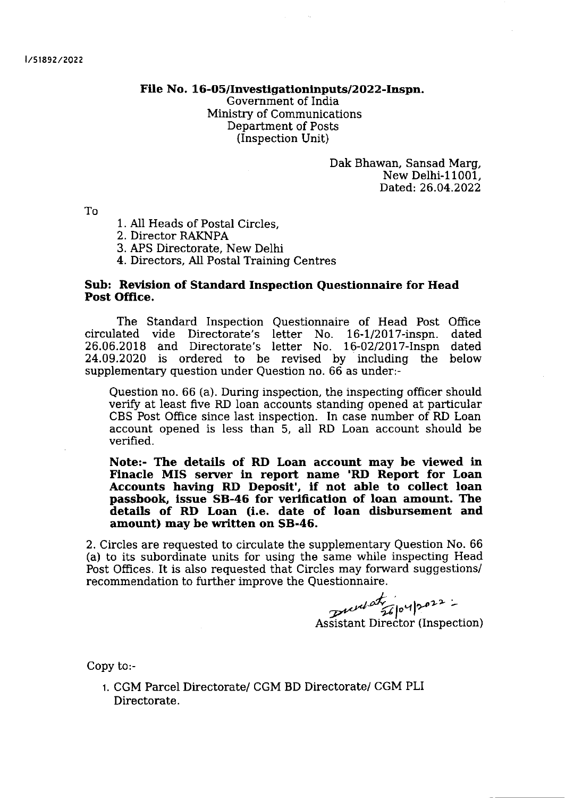File No. 16-05/Investigationinputs/2022-Inspn.

Government of India Ministry of Communications Department of Posts (Inspection Unit)

> Dak Bhawan, Sansad Marg, New Delhi-11001, Dated; 26.04.2022

To

- <sup>1</sup>. AII Heads of Postal Circles,
- 2. Director RAKNPA
- 3. APS Directorate, New Delhi
- 4. Directors, AII Postal Training Centres

## Sub: Revision of Standard Inspection Questionnaire for Head Post Office.

The Standard Inspection Questionnaire of Head Post Office<br>ated vide Directorate's letter No. 16-1/2017-inspn. dated circulated vide Directorate's letter No. 16-1/2017-inspn. 26.06.2018 and Directorate's letter No. 16-02/2017-Inspn dated 24.09.2020 is ordered to be revised by including the below supplementary question under Question no. 66 as under:-

Question no. 66 (a). During inspection, the inspecting officer should verify at least flve RD Ioan accounts standing opened at particular CBS Post Office since last inspection. In case number of RD Loan account opened is less than 5, all RD Loan account should be verified.

Note:- The details of RD Loan account may be viewed in Finacle MIS server in report name 'RD Report for Loan Accounts having RD Deposit', if not able to collect loan passbook, issue SB-46 for verification of loan amount. The details of RD Loan (i.e. date of loan disbursement and amount) may be written on 58-46.

2. Circles are requested to circulate the supplementary Question No. 66 (a) to its subordinate units for using the same while inspecting Head Post Offices. It is also requested that Circles may forward suggestions/ recommendation to further improve the Questionnaire.

> $|e^{u}|^{p}$ Assistant Director (Inspection)

Copy to:-

t. CGM Parcel Directorate/ CGM BD Directorate/ CGM PLI Directorate.